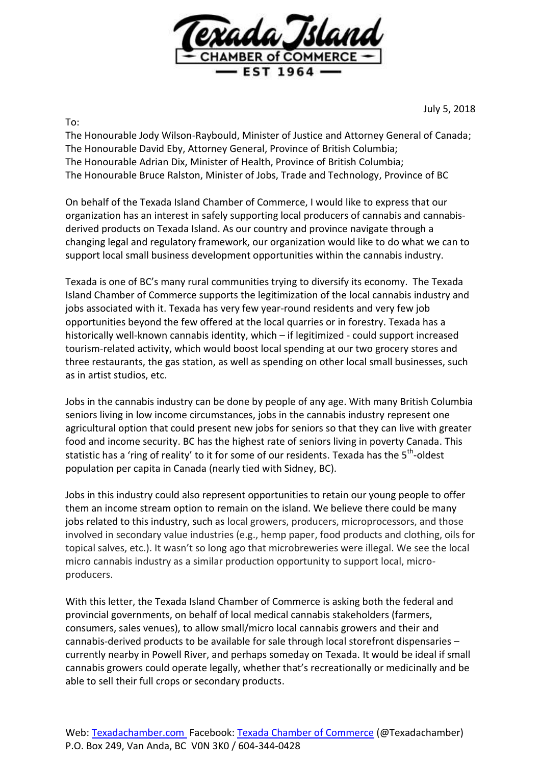

July 5, 2018

To:

The Honourable Jody Wilson-Raybould, Minister of Justice and Attorney General of Canada; The Honourable David Eby, Attorney General, Province of British Columbia; The Honourable Adrian Dix, Minister of Health, Province of British Columbia; The Honourable Bruce Ralston, Minister of Jobs, Trade and Technology, Province of BC

On behalf of the Texada Island Chamber of Commerce, I would like to express that our organization has an interest in safely supporting local producers of cannabis and cannabisderived products on Texada Island. As our country and province navigate through a changing legal and regulatory framework, our organization would like to do what we can to support local small business development opportunities within the cannabis industry.

Texada is one of BC's many rural communities trying to diversify its economy. The Texada Island Chamber of Commerce supports the legitimization of the local cannabis industry and jobs associated with it. Texada has very few year-round residents and very few job opportunities beyond the few offered at the local quarries or in forestry. Texada has a historically well-known cannabis identity, which – if legitimized - could support increased tourism-related activity, which would boost local spending at our two grocery stores and three restaurants, the gas station, as well as spending on other local small businesses, such as in artist studios, etc.

Jobs in the cannabis industry can be done by people of any age. With many British Columbia seniors living in low income circumstances, jobs in the cannabis industry represent one agricultural option that could present new jobs for seniors so that they can live with greater food and income security. BC has the highest rate of seniors living in poverty Canada. This statistic has a 'ring of reality' to it for some of our residents. Texada has the 5<sup>th</sup>-oldest population per capita in Canada (nearly tied with Sidney, BC).

Jobs in this industry could also represent opportunities to retain our young people to offer them an income stream option to remain on the island. We believe there could be many jobs related to this industry, such as local growers, producers, microprocessors, and those involved in secondary value industries (e.g., hemp paper, food products and clothing, oils for topical salves, etc.). It wasn't so long ago that microbreweries were illegal. We see the local micro cannabis industry as a similar production opportunity to support local, microproducers.

With this letter, the Texada Island Chamber of Commerce is asking both the federal and provincial governments, on behalf of local medical cannabis stakeholders (farmers, consumers, sales venues), to allow small/micro local cannabis growers and their and cannabis-derived products to be available for sale through local storefront dispensaries – currently nearby in Powell River, and perhaps someday on Texada. It would be ideal if small cannabis growers could operate legally, whether that's recreationally or medicinally and be able to sell their full crops or secondary products.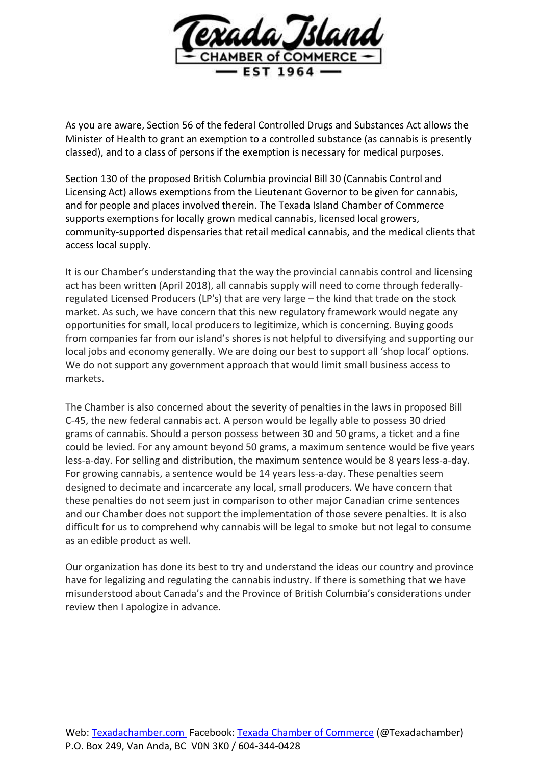

As you are aware, Section 56 of the federal Controlled Drugs and Substances Act allows the Minister of Health to grant an exemption to a controlled substance (as cannabis is presently classed), and to a class of persons if the exemption is necessary for medical purposes.

Section 130 of the proposed British Columbia provincial Bill 30 (Cannabis Control and Licensing Act) allows exemptions from the Lieutenant Governor to be given for cannabis, and for people and places involved therein. The Texada Island Chamber of Commerce supports exemptions for locally grown medical cannabis, licensed local growers, community-supported dispensaries that retail medical cannabis, and the medical clients that access local supply.

It is our Chamber's understanding that the way the provincial cannabis control and licensing act has been written (April 2018), all cannabis supply will need to come through federallyregulated Licensed Producers (LP's) that are very large – the kind that trade on the stock market. As such, we have concern that this new regulatory framework would negate any opportunities for small, local producers to legitimize, which is concerning. Buying goods from companies far from our island's shores is not helpful to diversifying and supporting our local jobs and economy generally. We are doing our best to support all 'shop local' options. We do not support any government approach that would limit small business access to markets.

The Chamber is also concerned about the severity of penalties in the laws in proposed Bill C-45, the new federal cannabis act. A person would be legally able to possess 30 dried grams of cannabis. Should a person possess between 30 and 50 grams, a ticket and a fine could be levied. For any amount beyond 50 grams, a maximum sentence would be five years less-a-day. For selling and distribution, the maximum sentence would be 8 years less-a-day. For growing cannabis, a sentence would be 14 years less-a-day. These penalties seem designed to decimate and incarcerate any local, small producers. We have concern that these penalties do not seem just in comparison to other major Canadian crime sentences and our Chamber does not support the implementation of those severe penalties. It is also difficult for us to comprehend why cannabis will be legal to smoke but not legal to consume as an edible product as well.

Our organization has done its best to try and understand the ideas our country and province have for legalizing and regulating the cannabis industry. If there is something that we have misunderstood about Canada's and the Province of British Columbia's considerations under review then I apologize in advance.